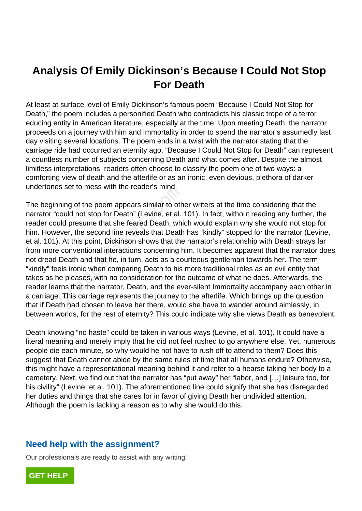## **Analysis Of Emily Dickinson's Because I Could Not Stop For Death**

At least at surface level of Emily Dickinson's famous poem "Because I Could Not Stop for Death," the poem includes a personified Death who contradicts his classic trope of a terror educing entity in American literature, especially at the time. Upon meeting Death, the narrator proceeds on a journey with him and Immortality in order to spend the narrator's assumedly last day visiting several locations. The poem ends in a twist with the narrator stating that the carriage ride had occurred an eternity ago. "Because I Could Not Stop for Death" can represent a countless number of subjects concerning Death and what comes after. Despite the almost limitless interpretations, readers often choose to classify the poem one of two ways: a comforting view of death and the afterlife or as an ironic, even devious, plethora of darker undertones set to mess with the reader's mind.

The beginning of the poem appears similar to other writers at the time considering that the narrator "could not stop for Death" (Levine, et al. 101). In fact, without reading any further, the reader could presume that she feared Death, which would explain why she would not stop for him. However, the second line reveals that Death has "kindly" stopped for the narrator (Levine, et al. 101). At this point, Dickinson shows that the narrator's relationship with Death strays far from more conventional interactions concerning him. It becomes apparent that the narrator does not dread Death and that he, in turn, acts as a courteous gentleman towards her. The term "kindly" feels ironic when comparing Death to his more traditional roles as an evil entity that takes as he pleases, with no consideration for the outcome of what he does. Afterwards, the reader learns that the narrator, Death, and the ever-silent Immortality accompany each other in a carriage. This carriage represents the journey to the afterlife. Which brings up the question that if Death had chosen to leave her there, would she have to wander around aimlessly, in between worlds, for the rest of eternity? This could indicate why she views Death as benevolent. s set to mess while reader's mind.<br>
hing of the poem appears similar to oth<br>
ould not stop for Death" (Levine, et al.<br>
lid presume that she feared Death, whick-<br>
wer, the second line reveals that Death<br>
At this point, Dick

Death knowing "no haste" could be taken in various ways (Levine, et al. 101). It could have a literal meaning and merely imply that he did not feel rushed to go anywhere else. Yet, numerous people die each minute, so why would he not have to rush off to attend to them? Does this suggest that Death cannot abide by the same rules of time that all humans endure? Otherwise, this might have a representational meaning behind it and refer to a hearse taking her body to a cemetery. Next, we find out that the narrator has "put away" her "labor, and […] leisure too, for his civility" (Levine, et al. 101). The aforementioned line could signify that she has disregarded her duties and things that she cares for in favor of giving Death her undivided attention. Although the poem is lacking a reason as to why she would do this.

## **Need help with the assignment?**

Our professionals are ready to assist with any writing!

**[GET HELP](https://my.gradesfixer.com/order?utm_campaign=pdf_sample)**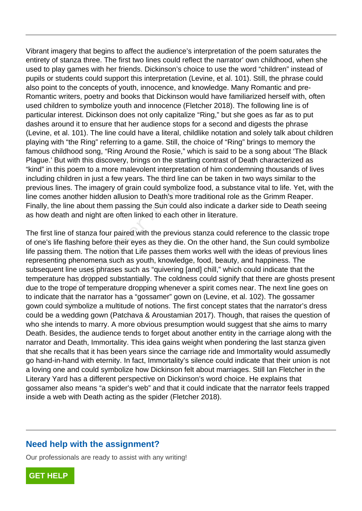Vibrant imagery that begins to affect the audience's interpretation of the poem saturates the entirety of stanza three. The first two lines could reflect the narrator' own childhood, when she used to play games with her friends. Dickinson's choice to use the word "children" instead of pupils or students could support this interpretation (Levine, et al. 101). Still, the phrase could also point to the concepts of youth, innocence, and knowledge. Many Romantic and pre-Romantic writers, poetry and books that Dickinson would have familiarized herself with, often used children to symbolize youth and innocence (Fletcher 2018). The following line is of particular interest. Dickinson does not only capitalize "Ring," but she goes as far as to put dashes around it to ensure that her audience stops for a second and digests the phrase (Levine, et al. 101). The line could have a literal, childlike notation and solely talk about children playing with "the Ring" referring to a game. Still, the choice of "Ring" brings to memory the famous childhood song, "Ring Around the Rosie," which is said to be a song about 'The Black Plague.' But with this discovery, brings on the startling contrast of Death characterized as "kind" in this poem to a more malevolent interpretation of him condemning thousands of lives including children in just a few years. The third line can be taken in two ways similar to the previous lines. The imagery of grain could symbolize food, a substance vital to life. Yet, with the line comes another hidden allusion to Death's more traditional role as the Grimm Reaper. Finally, the line about them passing the Sun could also indicate a darker side to Death seeing as how death and night are often linked to each other in literature.

The first line of stanza four paired with the previous stanza could reference to the classic trope of one's life flashing before their eyes as they die. On the other hand, the Sun could symbolize life passing them. The notion that Life passes them works well with the ideas of previous lines representing phenomena such as youth, knowledge, food, beauty, and happiness. The subsequent line uses phrases such as "quivering [and] chill," which could indicate that the temperature has dropped substantially. The coldness could signify that there are ghosts present due to the trope of temperature dropping whenever a spirit comes near. The next line goes on to indicate that the narrator has a "gossamer" gown on (Levine, et al. 102). The gossamer gown could symbolize a multitude of notions. The first concept states that the narrator's dress could be a wedding gown (Patchava & Aroustamian 2017). Though, that raises the question of who she intends to marry. A more obvious presumption would suggest that she aims to marry Death. Besides, the audience tends to forget about another entity in the carriage along with the narrator and Death, Immortality. This idea gains weight when pondering the last stanza given that she recalls that it has been years since the carriage ride and Immortality would assumedly go hand-in-hand with eternity. In fact, Immortality's silence could indicate that their union is not a loving one and could symbolize how Dickinson felt about marriages. Still Ian Fletcher in the Literary Yard has a different perspective on Dickinson's word choice. He explains that gossamer also means "a spider's web" and that it could indicate that the narrator feels trapped inside a web with Death acting as the spider (Fletcher 2018). Fresh The Imagery of grain could symbols<br>another hidden allusion to Death's moving<br>ath and night are often linked to each c<br>ne of stanza four paired with the previo<br>e flashing before their eyes as they die<br>g them. The noti

## **Need help with the assignment?**

Our professionals are ready to assist with any writing!

**[GET HELP](https://my.gradesfixer.com/order?utm_campaign=pdf_sample)**